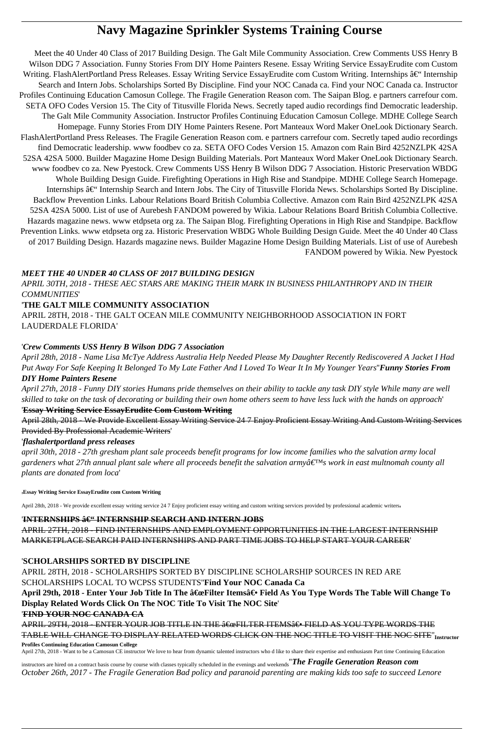# **Navy Magazine Sprinkler Systems Training Course**

Meet the 40 Under 40 Class of 2017 Building Design. The Galt Mile Community Association. Crew Comments USS Henry B Wilson DDG 7 Association. Funny Stories From DIY Home Painters Resene. Essay Writing Service EssayErudite com Custom Writing. FlashAlertPortland Press Releases. Essay Writing Service EssayErudite com Custom Writing. Internships – Internship Search and Intern Jobs. Scholarships Sorted By Discipline. Find your NOC Canada ca. Find your NOC Canada ca. Instructor Profiles Continuing Education Camosun College. The Fragile Generation Reason com. The Saipan Blog. e partners carrefour com. SETA OFO Codes Version 15. The City of Titusville Florida News. Secretly taped audio recordings find Democratic leadership. The Galt Mile Community Association. Instructor Profiles Continuing Education Camosun College. MDHE College Search Homepage. Funny Stories From DIY Home Painters Resene. Port Manteaux Word Maker OneLook Dictionary Search. FlashAlertPortland Press Releases. The Fragile Generation Reason com. e partners carrefour com. Secretly taped audio recordings find Democratic leadership. www foodbev co za. SETA OFO Codes Version 15. Amazon com Rain Bird 4252NZLPK 42SA 52SA 42SA 5000. Builder Magazine Home Design Building Materials. Port Manteaux Word Maker OneLook Dictionary Search. www foodbev co za. New Pyestock. Crew Comments USS Henry B Wilson DDG 7 Association. Historic Preservation WBDG Whole Building Design Guide. Firefighting Operations in High Rise and Standpipe. MDHE College Search Homepage. Internships  $\hat{a} \in \hat{C}$  Internship Search and Intern Jobs. The City of Titusville Florida News. Scholarships Sorted By Discipline. Backflow Prevention Links. Labour Relations Board British Columbia Collective. Amazon com Rain Bird 4252NZLPK 42SA 52SA 42SA 5000. List of use of Aurebesh FANDOM powered by Wikia. Labour Relations Board British Columbia Collective. Hazards magazine news. www etdpseta org za. The Saipan Blog. Firefighting Operations in High Rise and Standpipe. Backflow Prevention Links. www etdpseta org za. Historic Preservation WBDG Whole Building Design Guide. Meet the 40 Under 40 Class of 2017 Building Design. Hazards magazine news. Builder Magazine Home Design Building Materials. List of use of Aurebesh FANDOM powered by Wikia. New Pyestock

# *MEET THE 40 UNDER 40 CLASS OF 2017 BUILDING DESIGN*

*APRIL 30TH, 2018 - THESE AEC STARS ARE MAKING THEIR MARK IN BUSINESS PHILANTHROPY AND IN THEIR COMMUNITIES*'

# '**THE GALT MILE COMMUNITY ASSOCIATION**

APRIL 28TH, 2018 - THE GALT OCEAN MILE COMMUNITY NEIGHBORHOOD ASSOCIATION IN FORT LAUDERDALE FLORIDA'

# '*Crew Comments USS Henry B Wilson DDG 7 Association*

*April 28th, 2018 - Name Lisa McTye Address Australia Help Needed Please My Daughter Recently Rediscovered A Jacket I Had Put Away For Safe Keeping It Belonged To My Late Father And I Loved To Wear It In My Younger Years*''*Funny Stories From DIY Home Painters Resene*

*April 27th, 2018 - Funny DIY stories Humans pride themselves on their ability to tackle any task DIY style While many are well skilled to take on the task of decorating or building their own home others seem to have less luck with the hands on approach*' '**Essay Writing Service EssayErudite Com Custom Writing**

April 28th, 2018 - We Provide Excellent Essay Writing Service 24 7 Enjoy Proficient Essay Writing And Custom Writing Services Provided By Professional Academic Writers'

# '*flashalertportland press releases*

*april 30th, 2018 - 27th gresham plant sale proceeds benefit programs for low income families who the salvation army local* gardeners what 27th annual plant sale where all proceeds benefit the salvation army $\hat{a} \in \mathbb{N}$ s work in east multnomah county all *plants are donated from loca*'

'**Essay Writing Service EssayErudite com Custom Writing**

April 28th, 2018 - We provide excellent essay writing service 24 7 Enjoy proficient essay writing and custom writing services provided by professional academic writers,

# 'INTERNSHIPS â€" INTERNSHIP SEARCH AND INTERN JOBS

APRIL 27TH, 2018 - FIND INTERNSHIPS AND EMPLOYMENT OPPORTUNITIES IN THE LARGEST INTERNSHIP MARKETPLACE SEARCH PAID INTERNSHIPS AND PART TIME JOBS TO HELP START YOUR CAREER'

# '**SCHOLARSHIPS SORTED BY DISCIPLINE**

APRIL 28TH, 2018 - SCHOLARSHIPS SORTED BY DISCIPLINE SCHOLARSHIP SOURCES IN RED ARE SCHOLARSHIPS LOCAL TO WCPSS STUDENTS''**Find Your NOC Canada Ca**

April 29th, 2018 - Enter Your Job Title In The "Filter Items― Field As You Type Words The Table Will Change To **Display Related Words Click On The NOC Title To Visit The NOC Site**' '**FIND YOUR NOC CANADA CA**

APRIL 29TH, 2018 - ENTER YOUR JOB TITLE IN THE  $\hat{\mathbf{a}} \in \mathbb{R}$ FILTER ITEMS $\hat{\mathbf{a}} \in \mathbb{R}$ FIELD AS YOU TYPE WORDS THE TABLE WILL CHANGE TO DISPLAY RELATED WORDS CLICK ON THE NOC TITLE TO VISIT THE NOC SITE''**Instructor Profiles Continuing Education Camosun College**

April 27th, 2018 - Want to be a Camosun CE instructor We love to hear from dynamic talented instructors who d like to share their expertise and enthusiasm Part time Continuing Education

instructors are hired on a contract basis course by course with classes typically scheduled in the evenings and weekends''*The Fragile Generation Reason com October 26th, 2017 - The Fragile Generation Bad policy and paranoid parenting are making kids too safe to succeed Lenore*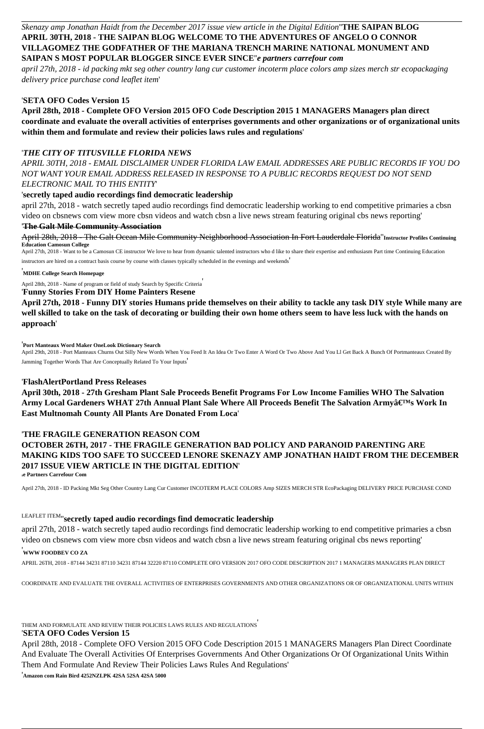# *Skenazy amp Jonathan Haidt from the December 2017 issue view article in the Digital Edition*''**THE SAIPAN BLOG APRIL 30TH, 2018 - THE SAIPAN BLOG WELCOME TO THE ADVENTURES OF ANGELO O CONNOR VILLAGOMEZ THE GODFATHER OF THE MARIANA TRENCH MARINE NATIONAL MONUMENT AND SAIPAN S MOST POPULAR BLOGGER SINCE EVER SINCE**''*e partners carrefour com*

*april 27th, 2018 - id packing mkt seg other country lang cur customer incoterm place colors amp sizes merch str ecopackaging delivery price purchase cond leaflet item*'

## '**SETA OFO Codes Version 15**

**April 28th, 2018 - Complete OFO Version 2015 OFO Code Description 2015 1 MANAGERS Managers plan direct coordinate and evaluate the overall activities of enterprises governments and other organizations or of organizational units within them and formulate and review their policies laws rules and regulations**'

### '*THE CITY OF TITUSVILLE FLORIDA NEWS*

*APRIL 30TH, 2018 - EMAIL DISCLAIMER UNDER FLORIDA LAW EMAIL ADDRESSES ARE PUBLIC RECORDS IF YOU DO NOT WANT YOUR EMAIL ADDRESS RELEASED IN RESPONSE TO A PUBLIC RECORDS REQUEST DO NOT SEND ELECTRONIC MAIL TO THIS ENTITY*'

## '**secretly taped audio recordings find democratic leadership**

april 27th, 2018 - watch secretly taped audio recordings find democratic leadership working to end competitive primaries a cbsn video on cbsnews com view more cbsn videos and watch cbsn a live news stream featuring original cbs news reporting'

### '**The Galt Mile Community Association**

April 28th, 2018 - The Galt Ocean Mile Community Neighborhood Association In Fort Lauderdale Florida''**Instructor Profiles Continuing Education Camosun College**

April 27th, 2018 - Want to be a Camosun CE instructor We love to hear from dynamic talented instructors who d like to share their expertise and enthusiasm Part time Continuing Education instructors are hired on a contract basis course by course with classes typically scheduled in the evenings and weekends'

### '**MDHE College Search Homepage**

April 28th, 2018 - Name of program or field of study Search by Specific Criteria'

# '**Funny Stories From DIY Home Painters Resene**

**April 27th, 2018 - Funny DIY stories Humans pride themselves on their ability to tackle any task DIY style While many are well skilled to take on the task of decorating or building their own home others seem to have less luck with the hands on approach**'

### '**Port Manteaux Word Maker OneLook Dictionary Search**

April 29th, 2018 - Port Manteaux Churns Out Silly New Words When You Feed It An Idea Or Two Enter A Word Or Two Above And You Ll Get Back A Bunch Of Portmanteaux Created By Jamming Together Words That Are Conceptually Related To Your Inputs'

### '**FlashAlertPortland Press Releases**

**April 30th, 2018 - 27th Gresham Plant Sale Proceeds Benefit Programs For Low Income Families WHO The Salvation** Army Local Gardeners WHAT 27th Annual Plant Sale Where All Proceeds Benefit The Salvation Armyâ€<sup>™</sup>s Work In **East Multnomah County All Plants Are Donated From Loca**'

### '**THE FRAGILE GENERATION REASON COM**

**OCTOBER 26TH, 2017 - THE FRAGILE GENERATION BAD POLICY AND PARANOID PARENTING ARE MAKING KIDS TOO SAFE TO SUCCEED LENORE SKENAZY AMP JONATHAN HAIDT FROM THE DECEMBER 2017 ISSUE VIEW ARTICLE IN THE DIGITAL EDITION**' '**e Partners Carrefour Com**

April 27th, 2018 - ID Packing Mkt Seg Other Country Lang Cur Customer INCOTERM PLACE COLORS Amp SIZES MERCH STR EcoPackaging DELIVERY PRICE PURCHASE COND

# LEAFLET ITEM''**secretly taped audio recordings find democratic leadership**

april 27th, 2018 - watch secretly taped audio recordings find democratic leadership working to end competitive primaries a cbsn video on cbsnews com view more cbsn videos and watch cbsn a live news stream featuring original cbs news reporting'

### '**WWW FOODBEV CO ZA**

APRIL 26TH, 2018 - 87144 34231 87110 34231 87144 32220 87110 COMPLETE OFO VERSION 2017 OFO CODE DESCRIPTION 2017 1 MANAGERS MANAGERS PLAN DIRECT

COORDINATE AND EVALUATE THE OVERALL ACTIVITIES OF ENTERPRISES GOVERNMENTS AND OTHER ORGANIZATIONS OR OF ORGANIZATIONAL UNITS WITHIN

# THEM AND FORMULATE AND REVIEW THEIR POLICIES LAWS RULES AND REGULATIONS'

# '**SETA OFO Codes Version 15**

April 28th, 2018 - Complete OFO Version 2015 OFO Code Description 2015 1 MANAGERS Managers Plan Direct Coordinate And Evaluate The Overall Activities Of Enterprises Governments And Other Organizations Or Of Organizational Units Within Them And Formulate And Review Their Policies Laws Rules And Regulations'

'**Amazon com Rain Bird 4252NZLPK 42SA 52SA 42SA 5000**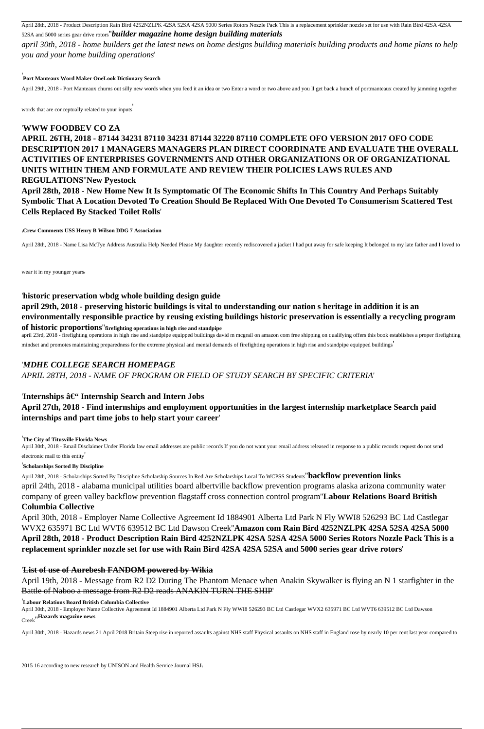April 28th, 2018 - Product Description Rain Bird 4252NZLPK 42SA 52SA 42SA 5000 Series Rotors Nozzle Pack This is a replacement sprinkler nozzle set for use with Rain Bird 42SA 42SA 52SA and 5000 series gear drive rotors''*builder magazine home design building materials*

*april 30th, 2018 - home builders get the latest news on home designs building materials building products and home plans to help you and your home building operations*'

### '**Port Manteaux Word Maker OneLook Dictionary Search**

April 29th, 2018 - Port Manteaux churns out silly new words when you feed it an idea or two Enter a word or two above and you ll get back a bunch of portmanteaux created by jamming together

words that are conceptually related to your inputs'

### '**WWW FOODBEV CO ZA**

# **APRIL 26TH, 2018 - 87144 34231 87110 34231 87144 32220 87110 COMPLETE OFO VERSION 2017 OFO CODE DESCRIPTION 2017 1 MANAGERS MANAGERS PLAN DIRECT COORDINATE AND EVALUATE THE OVERALL ACTIVITIES OF ENTERPRISES GOVERNMENTS AND OTHER ORGANIZATIONS OR OF ORGANIZATIONAL UNITS WITHIN THEM AND FORMULATE AND REVIEW THEIR POLICIES LAWS RULES AND**

# **REGULATIONS**''**New Pyestock**

**April 28th, 2018 - New Home New It Is Symptomatic Of The Economic Shifts In This Country And Perhaps Suitably Symbolic That A Location Devoted To Creation Should Be Replaced With One Devoted To Consumerism Scattered Test Cells Replaced By Stacked Toilet Rolls**'

#### '**Crew Comments USS Henry B Wilson DDG 7 Association**

April 28th, 2018 - Name Lisa McTye Address Australia Help Needed Please My daughter recently rediscovered a jacket I had put away for safe keeping It belonged to my late father and I loved to

wear it in my younger years.

### '**historic preservation wbdg whole building design guide**

**april 29th, 2018 - preserving historic buildings is vital to understanding our nation s heritage in addition it is an environmentally responsible practice by reusing existing buildings historic preservation is essentially a recycling program of historic proportions**''**firefighting operations in high rise and standpipe**

april 23rd, 2018 - firefighting operations in high rise and standpipe equipped buildings david m mcgrail on amazon com free shipping on qualifying offers this book establishes a proper firefighting mindset and promotes maintaining preparedness for the extreme physical and mental demands of firefighting operations in high rise and standpipe equipped buildings'

### '*MDHE COLLEGE SEARCH HOMEPAGE*

*APRIL 28TH, 2018 - NAME OF PROGRAM OR FIELD OF STUDY SEARCH BY SPECIFIC CRITERIA*'

# 'Internships â€" Internship Search and Intern Jobs

**April 27th, 2018 - Find internships and employment opportunities in the largest internship marketplace Search paid internships and part time jobs to help start your career**'

### '**The City of Titusville Florida News**

April 30th, 2018 - Email Disclaimer Under Florida law email addresses are public records If you do not want your email address released in response to a public records request do not send electronic mail to this entity'

### '**Scholarships Sorted By Discipline**

April 28th, 2018 - Scholarships Sorted By Discipline Scholarship Sources In Red Are Scholarships Local To WCPSS Students''**backflow prevention links** april 24th, 2018 - alabama municipal utilities board albertville backflow prevention programs alaska arizona community water company of green valley backflow prevention flagstaff cross connection control program''**Labour Relations Board British Columbia Collective**

April 30th, 2018 - Employer Name Collective Agreement Id 1884901 Alberta Ltd Park N Fly WWI8 526293 BC Ltd Castlegar WVX2 635971 BC Ltd WVT6 639512 BC Ltd Dawson Creek''**Amazon com Rain Bird 4252NZLPK 42SA 52SA 42SA 5000 April 28th, 2018 - Product Description Rain Bird 4252NZLPK 42SA 52SA 42SA 5000 Series Rotors Nozzle Pack This is a replacement sprinkler nozzle set for use with Rain Bird 42SA 42SA 52SA and 5000 series gear drive rotors**'

### '**List of use of Aurebesh FANDOM powered by Wikia**

April 19th, 2018 - Message from R2 D2 During The Phantom Menace when Anakin Skywalker is flying an N 1 starfighter in the Battle of Naboo a message from R2 D2 reads ANAKIN TURN THE SHIP'

'**Labour Relations Board British Columbia Collective**

April 30th, 2018 - Employer Name Collective Agreement Id 1884901 Alberta Ltd Park N Fly WWI8 526293 BC Ltd Castlegar WVX2 635971 BC Ltd WVT6 639512 BC Ltd Dawson Creek''**Hazards magazine news**

April 30th, 2018 - Hazards news 21 April 2018 Britain Steep rise in reported assaults against NHS staff Physical assaults on NHS staff in England rose by nearly 10 per cent last year compared to